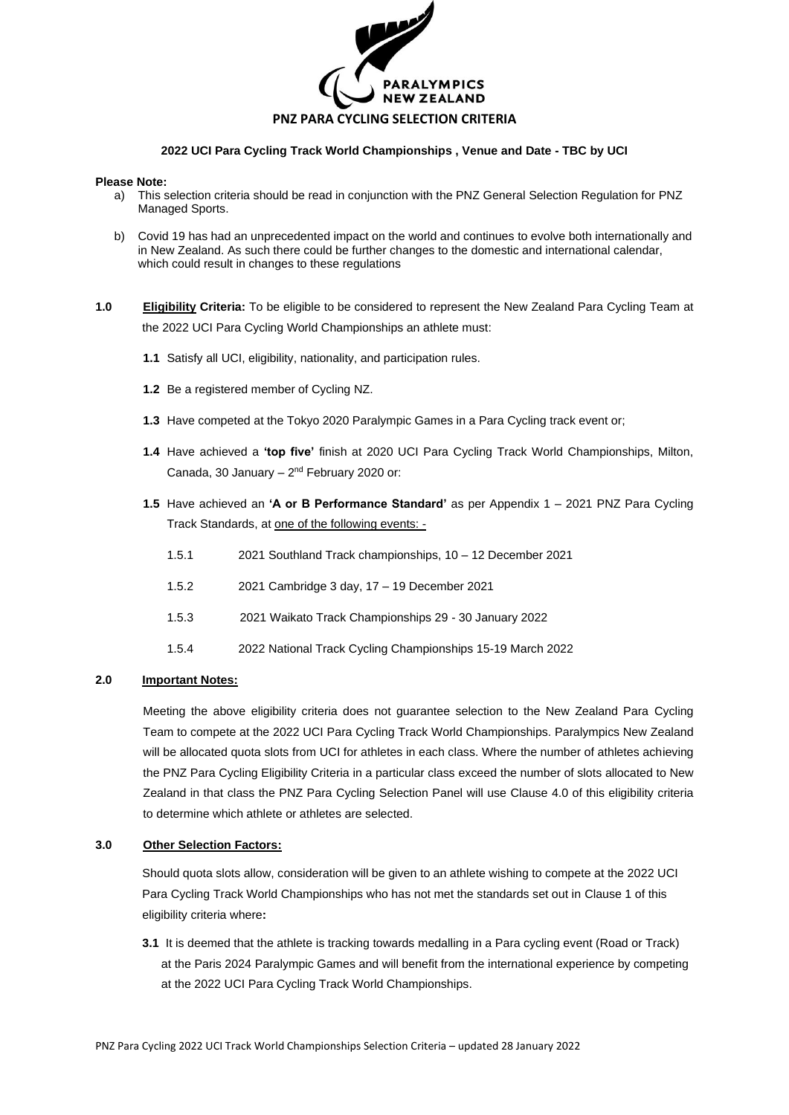

# **2022 UCI Para Cycling Track World Championships , Venue and Date - TBC by UCI**

#### **Please Note:**

- a) This selection criteria should be read in conjunction with the PNZ General Selection Regulation for PNZ Managed Sports.
- b) Covid 19 has had an unprecedented impact on the world and continues to evolve both internationally and in New Zealand. As such there could be further changes to the domestic and international calendar, which could result in changes to these regulations
- **1.0 Eligibility Criteria:** To be eligible to be considered to represent the New Zealand Para Cycling Team at the 2022 UCI Para Cycling World Championships an athlete must:
	- **1.1** Satisfy all UCI, eligibility, nationality, and participation rules.
	- **1.2** Be a registered member of Cycling NZ.
	- **1.3** Have competed at the Tokyo 2020 Paralympic Games in a Para Cycling track event or;
	- **1.4** Have achieved a **'top five'** finish at 2020 UCI Para Cycling Track World Championships, Milton, Canada, 30 January -  $2<sup>nd</sup>$  February 2020 or:
	- **1.5** Have achieved an **'A or B Performance Standard'** as per Appendix 1 2021 PNZ Para Cycling Track Standards, at one of the following events: -
		- 1.5.1 2021 Southland Track championships, 10 12 December 2021
		- 1.5.2 2021 Cambridge 3 day, 17 19 December 2021
		- 1.5.3 2021 Waikato Track Championships 29 30 January 2022
		- 1.5.4 2022 National Track Cycling Championships 15-19 March 2022

#### **2.0 Important Notes:**

Meeting the above eligibility criteria does not guarantee selection to the New Zealand Para Cycling Team to compete at the 2022 UCI Para Cycling Track World Championships. Paralympics New Zealand will be allocated quota slots from UCI for athletes in each class. Where the number of athletes achieving the PNZ Para Cycling Eligibility Criteria in a particular class exceed the number of slots allocated to New Zealand in that class the PNZ Para Cycling Selection Panel will use Clause 4.0 of this eligibility criteria to determine which athlete or athletes are selected.

#### **3.0 Other Selection Factors:**

Should quota slots allow, consideration will be given to an athlete wishing to compete at the 2022 UCI Para Cycling Track World Championships who has not met the standards set out in Clause 1 of this eligibility criteria where**:**

**3.1** It is deemed that the athlete is tracking towards medalling in a Para cycling event (Road or Track) at the Paris 2024 Paralympic Games and will benefit from the international experience by competing at the 2022 UCI Para Cycling Track World Championships.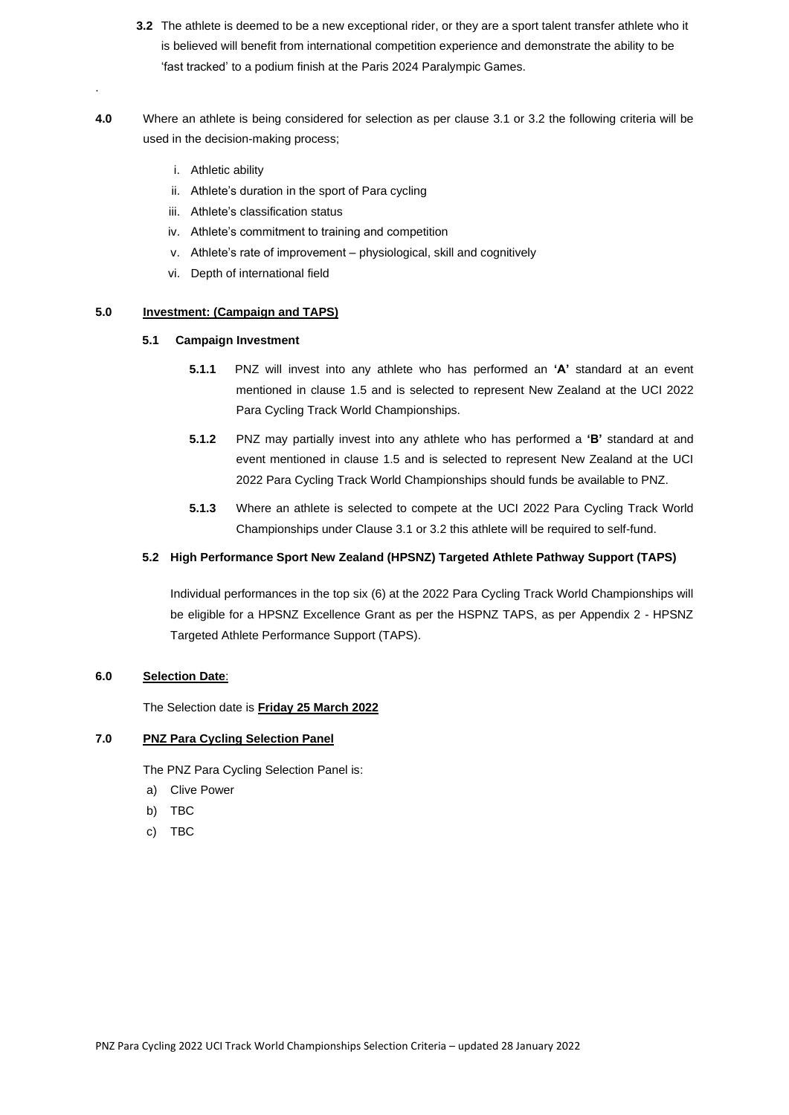- **3.2** The athlete is deemed to be a new exceptional rider, or they are a sport talent transfer athlete who it is believed will benefit from international competition experience and demonstrate the ability to be 'fast tracked' to a podium finish at the Paris 2024 Paralympic Games.
- **4.0** Where an athlete is being considered for selection as per clause 3.1 or 3.2 the following criteria will be used in the decision-making process;
	- i. Athletic ability

.

- ii. Athlete's duration in the sport of Para cycling
- iii. Athlete's classification status
- iv. Athlete's commitment to training and competition
- v. Athlete's rate of improvement physiological, skill and cognitively
- vi. Depth of international field

# **5.0 Investment: (Campaign and TAPS)**

## **5.1 Campaign Investment**

- **5.1.1** PNZ will invest into any athlete who has performed an **'A'** standard at an event mentioned in clause 1.5 and is selected to represent New Zealand at the UCI 2022 Para Cycling Track World Championships.
- **5.1.2** PNZ may partially invest into any athlete who has performed a **'B'** standard at and event mentioned in clause 1.5 and is selected to represent New Zealand at the UCI 2022 Para Cycling Track World Championships should funds be available to PNZ.
- **5.1.3** Where an athlete is selected to compete at the UCI 2022 Para Cycling Track World Championships under Clause 3.1 or 3.2 this athlete will be required to self-fund.

# **5.2 High Performance Sport New Zealand (HPSNZ) Targeted Athlete Pathway Support (TAPS)**

Individual performances in the top six (6) at the 2022 Para Cycling Track World Championships will be eligible for a HPSNZ Excellence Grant as per the HSPNZ TAPS, as per Appendix 2 - HPSNZ Targeted Athlete Performance Support (TAPS).

### **6.0 Selection Date**:

The Selection date is **Friday 25 March 2022**

### **7.0 PNZ Para Cycling Selection Panel**

The PNZ Para Cycling Selection Panel is:

- a) Clive Power
- b) TBC
- c) TBC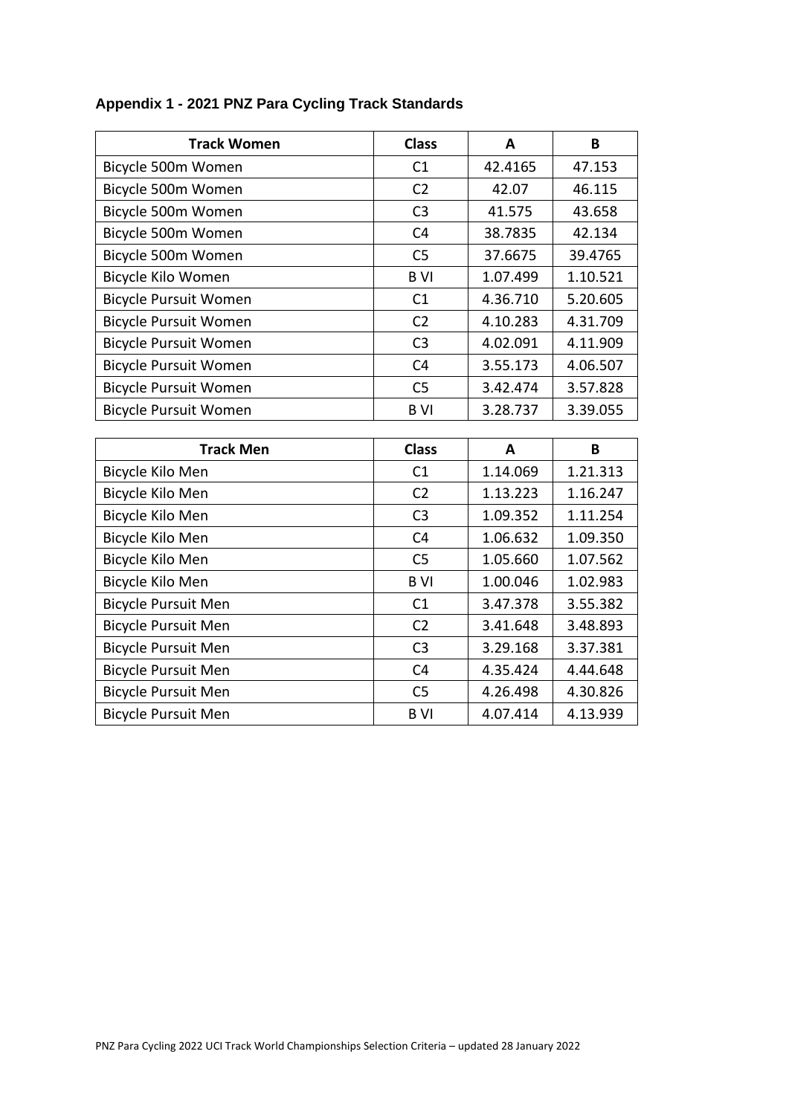| <b>Track Women</b>           | <b>Class</b>   | A        | B        |
|------------------------------|----------------|----------|----------|
| Bicycle 500m Women           | C1             | 42.4165  | 47.153   |
| Bicycle 500m Women           | C <sub>2</sub> | 42.07    | 46.115   |
| Bicycle 500m Women           | C <sub>3</sub> | 41.575   | 43.658   |
| Bicycle 500m Women           | C <sub>4</sub> | 38.7835  | 42.134   |
| Bicycle 500m Women           | C <sub>5</sub> | 37.6675  | 39.4765  |
| Bicycle Kilo Women           | <b>BVI</b>     | 1.07.499 | 1.10.521 |
| <b>Bicycle Pursuit Women</b> | C1             | 4.36.710 | 5.20.605 |
| <b>Bicycle Pursuit Women</b> | C <sub>2</sub> | 4.10.283 | 4.31.709 |
| <b>Bicycle Pursuit Women</b> | C <sub>3</sub> | 4.02.091 | 4.11.909 |
| <b>Bicycle Pursuit Women</b> | C <sub>4</sub> | 3.55.173 | 4.06.507 |
| <b>Bicycle Pursuit Women</b> | C <sub>5</sub> | 3.42.474 | 3.57.828 |
| <b>Bicycle Pursuit Women</b> | <b>BVI</b>     | 3.28.737 | 3.39.055 |
|                              |                |          |          |
|                              |                |          |          |
| <b>Track Men</b>             | <b>Class</b>   | A        | B        |
| Bicycle Kilo Men             | C1             | 1.14.069 | 1.21.313 |
| Bicycle Kilo Men             | C <sub>2</sub> | 1.13.223 | 1.16.247 |
| Bicycle Kilo Men             | C <sub>3</sub> | 1.09.352 | 1.11.254 |
| Bicycle Kilo Men             | C <sub>4</sub> | 1.06.632 | 1.09.350 |
| Bicycle Kilo Men             | C <sub>5</sub> | 1.05.660 | 1.07.562 |
| Bicycle Kilo Men             | <b>BVI</b>     | 1.00.046 | 1.02.983 |
| <b>Bicycle Pursuit Men</b>   | C1             | 3.47.378 | 3.55.382 |
| <b>Bicycle Pursuit Men</b>   | C <sub>2</sub> | 3.41.648 | 3.48.893 |
| <b>Bicycle Pursuit Men</b>   | C <sub>3</sub> | 3.29.168 | 3.37.381 |
| <b>Bicycle Pursuit Men</b>   | C <sub>4</sub> | 4.35.424 | 4.44.648 |
| <b>Bicycle Pursuit Men</b>   | C <sub>5</sub> | 4.26.498 | 4.30.826 |

# **Appendix 1 - 2021 PNZ Para Cycling Track Standards**